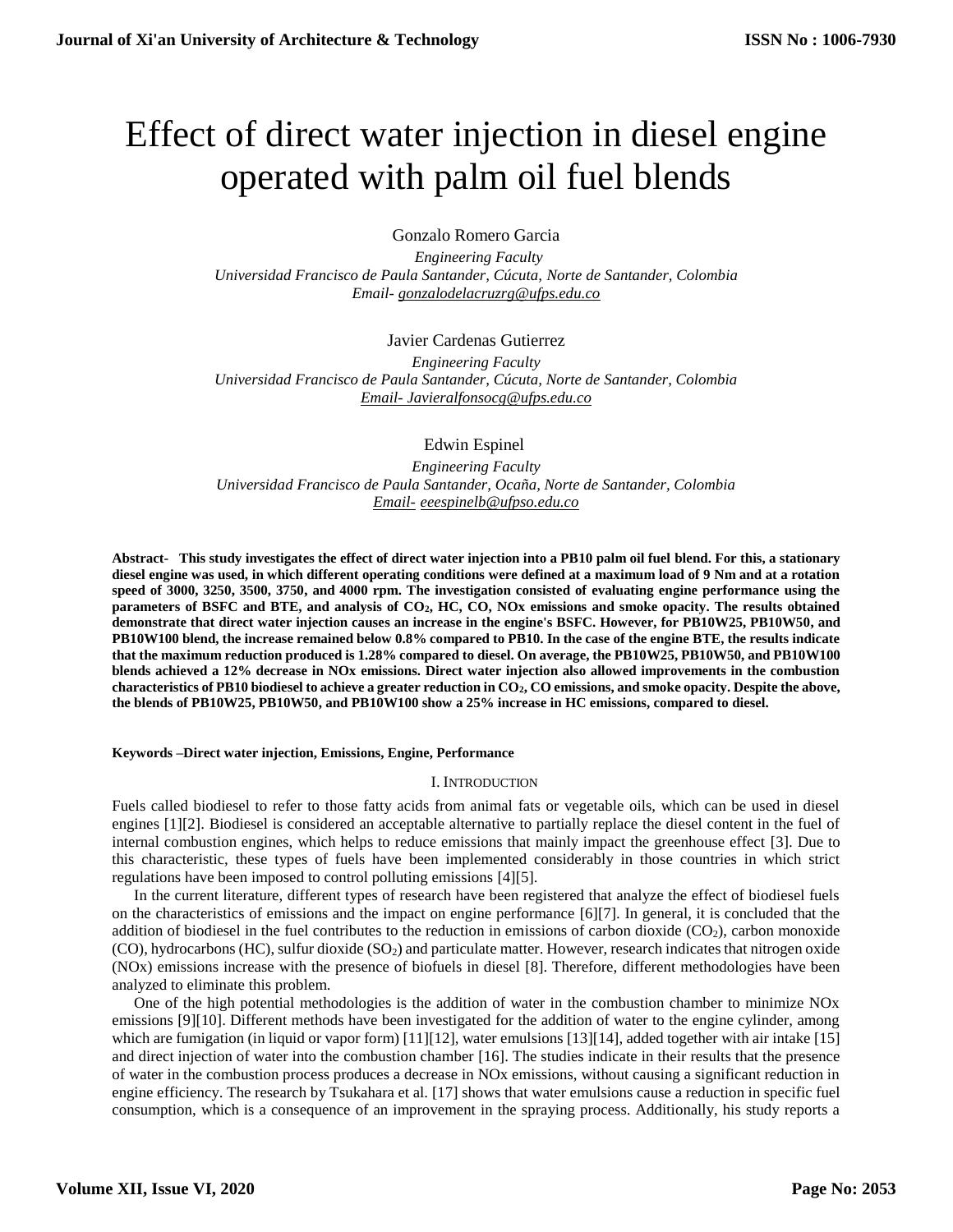# Effect of direct water injection in diesel engine operated with palm oil fuel blends

Gonzalo Romero Garcia

 *Engineering Faculty Universidad Francisco de Paula Santander, Cúcuta, Norte de Santander, Colombia Email- [gonzalodelacruzrg@ufps.edu.co](mailto:gonzalodelacruzrg@ufps.edu.co)*

# Javier Cardenas Gutierrez

*Engineering Faculty Universidad Francisco de Paula Santander, Cúcuta, Norte de Santander, Colombia Email- [Javieralfonsocg@ufps.edu.co](mailto:Javieralfonsocg@ufps.edu.co)*

Edwin Espinel

*Engineering Faculty Universidad Francisco de Paula Santander, Ocaña, Norte de Santander, Colombia Email- eeespinelb@ufpso.edu.co*

**Abstract- This study investigates the effect of direct water injection into a PB10 palm oil fuel blend. For this, a stationary diesel engine was used, in which different operating conditions were defined at a maximum load of 9 Nm and at a rotation speed of 3000, 3250, 3500, 3750, and 4000 rpm. The investigation consisted of evaluating engine performance using the parameters of BSFC and BTE, and analysis of CO2, HC, CO, NOx emissions and smoke opacity. The results obtained demonstrate that direct water injection causes an increase in the engine's BSFC. However, for PB10W25, PB10W50, and PB10W100 blend, the increase remained below 0.8% compared to PB10. In the case of the engine BTE, the results indicate that the maximum reduction produced is 1.28% compared to diesel. On average, the PB10W25, PB10W50, and PB10W100 blends achieved a 12% decrease in NOx emissions. Direct water injection also allowed improvements in the combustion characteristics of PB10 biodiesel to achieve a greater reduction in CO2, CO emissions, and smoke opacity. Despite the above, the blends of PB10W25, PB10W50, and PB10W100 show a 25% increase in HC emissions, compared to diesel.**

## **Keywords –Direct water injection, Emissions, Engine, Performance**

## I. INTRODUCTION

Fuels called biodiesel to refer to those fatty acids from animal fats or vegetable oils, which can be used in diesel engines [1][2]. Biodiesel is considered an acceptable alternative to partially replace the diesel content in the fuel of internal combustion engines, which helps to reduce emissions that mainly impact the greenhouse effect [3]. Due to this characteristic, these types of fuels have been implemented considerably in those countries in which strict regulations have been imposed to control polluting emissions [4][5].

In the current literature, different types of research have been registered that analyze the effect of biodiesel fuels on the characteristics of emissions and the impact on engine performance [6][7]. In general, it is concluded that the addition of biodiesel in the fuel contributes to the reduction in emissions of carbon dioxide  $(CO_2)$ , carbon monoxide (CO), hydrocarbons (HC), sulfur dioxide (SO2) and particulate matter. However, research indicates that nitrogen oxide (NOx) emissions increase with the presence of biofuels in diesel [8]. Therefore, different methodologies have been analyzed to eliminate this problem.

One of the high potential methodologies is the addition of water in the combustion chamber to minimize NOx emissions [9][10]. Different methods have been investigated for the addition of water to the engine cylinder, among which are fumigation (in liquid or vapor form) [11][12], water emulsions [13][14], added together with air intake [15] and direct injection of water into the combustion chamber [16]. The studies indicate in their results that the presence of water in the combustion process produces a decrease in NOx emissions, without causing a significant reduction in engine efficiency. The research by Tsukahara et al. [17] shows that water emulsions cause a reduction in specific fuel consumption, which is a consequence of an improvement in the spraying process. Additionally, his study reports a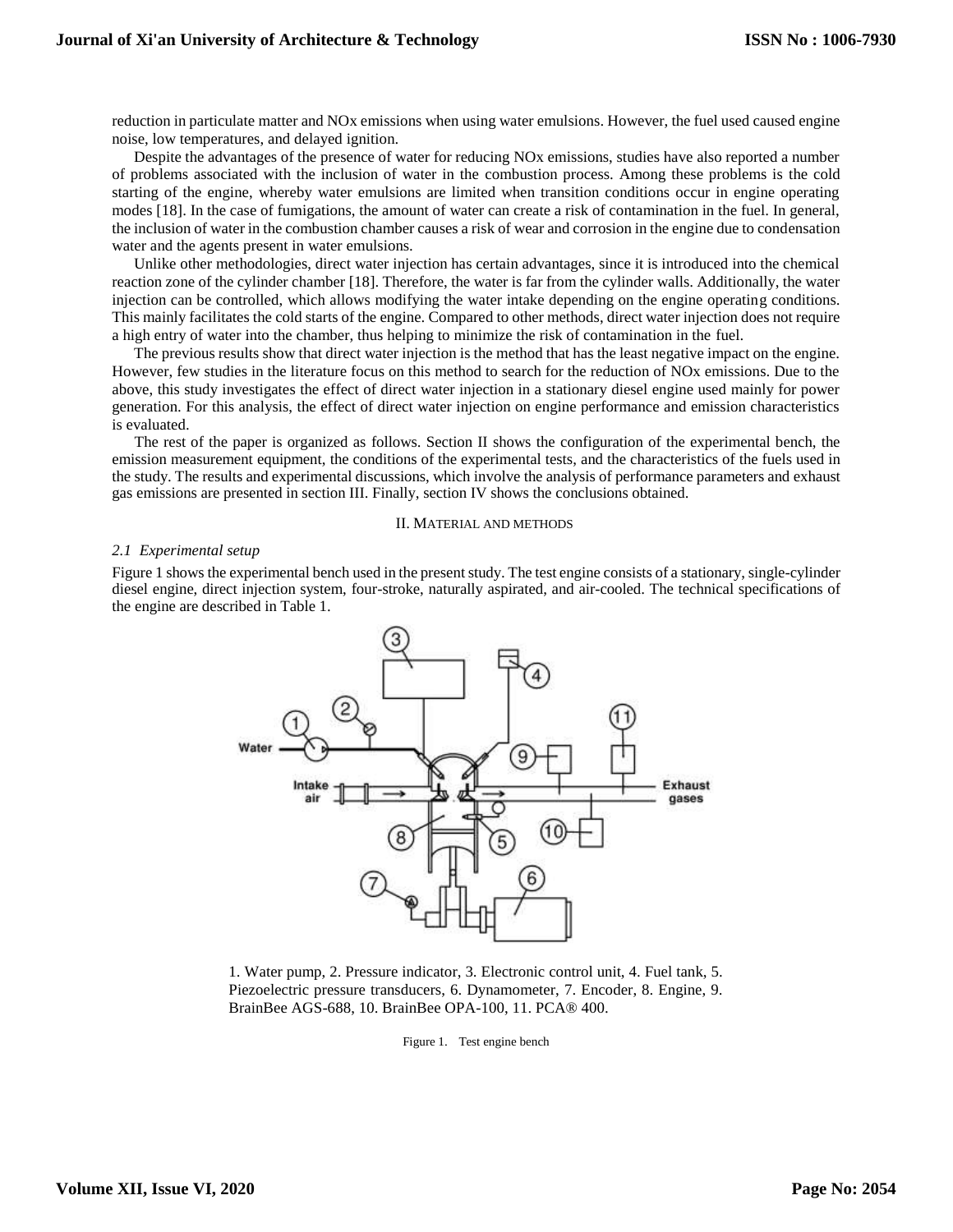reduction in particulate matter and NOx emissions when using water emulsions. However, the fuel used caused engine noise, low temperatures, and delayed ignition.

Despite the advantages of the presence of water for reducing NOx emissions, studies have also reported a number of problems associated with the inclusion of water in the combustion process. Among these problems is the cold starting of the engine, whereby water emulsions are limited when transition conditions occur in engine operating modes [18]. In the case of fumigations, the amount of water can create a risk of contamination in the fuel. In general, the inclusion of water in the combustion chamber causes a risk of wear and corrosion in the engine due to condensation water and the agents present in water emulsions.

Unlike other methodologies, direct water injection has certain advantages, since it is introduced into the chemical reaction zone of the cylinder chamber [18]. Therefore, the water is far from the cylinder walls. Additionally, the water injection can be controlled, which allows modifying the water intake depending on the engine operating conditions. This mainly facilitates the cold starts of the engine. Compared to other methods, direct water injection does not require a high entry of water into the chamber, thus helping to minimize the risk of contamination in the fuel.

The previous results show that direct water injection is the method that has the least negative impact on the engine. However, few studies in the literature focus on this method to search for the reduction of NOx emissions. Due to the above, this study investigates the effect of direct water injection in a stationary diesel engine used mainly for power generation. For this analysis, the effect of direct water injection on engine performance and emission characteristics is evaluated.

The rest of the paper is organized as follows. Section II shows the configuration of the experimental bench, the emission measurement equipment, the conditions of the experimental tests, and the characteristics of the fuels used in the study. The results and experimental discussions, which involve the analysis of performance parameters and exhaust gas emissions are presented in section III. Finally, section IV shows the conclusions obtained.

#### II. MATERIAL AND METHODS

#### *2.1 Experimental setup*

Figure 1 shows the experimental bench used in the present study. The test engine consists of a stationary, single-cylinder diesel engine, direct injection system, four-stroke, naturally aspirated, and air-cooled. The technical specifications of the engine are described in Table 1.



1. Water pump, 2. Pressure indicator, 3. Electronic control unit, 4. Fuel tank, 5. Piezoelectric pressure transducers, 6. Dynamometer, 7. Encoder, 8. Engine, 9. BrainBee AGS-688, 10. BrainBee OPA-100, 11. PCA® 400.

Figure 1. Test engine bench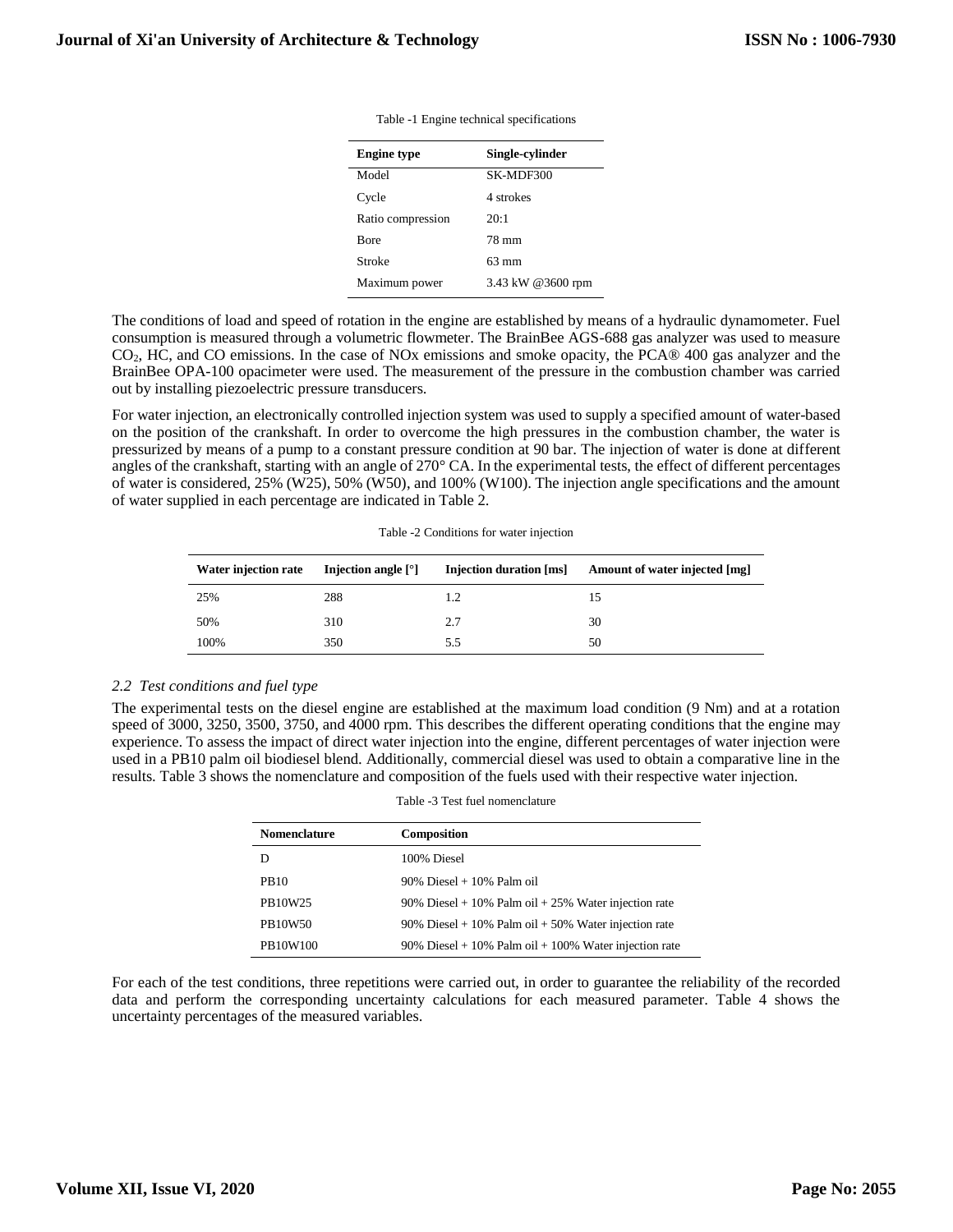| <b>Engine type</b> | Single-cylinder   |
|--------------------|-------------------|
| Model              | SK-MDF300         |
| Cycle              | 4 strokes         |
| Ratio compression  | 20:1              |
| <b>B</b> ore       | 78 mm             |
| Stroke             | 63 mm             |
| Maximum power      | 3.43 kW @3600 rpm |

Table -1 Engine technical specifications

The conditions of load and speed of rotation in the engine are established by means of a hydraulic dynamometer. Fuel consumption is measured through a volumetric flowmeter. The BrainBee AGS-688 gas analyzer was used to measure CO2, HC, and CO emissions. In the case of NOx emissions and smoke opacity, the PCA® 400 gas analyzer and the BrainBee OPA-100 opacimeter were used. The measurement of the pressure in the combustion chamber was carried out by installing piezoelectric pressure transducers.

For water injection, an electronically controlled injection system was used to supply a specified amount of water-based on the position of the crankshaft. In order to overcome the high pressures in the combustion chamber, the water is pressurized by means of a pump to a constant pressure condition at 90 bar. The injection of water is done at different angles of the crankshaft, starting with an angle of 270° CA. In the experimental tests, the effect of different percentages of water is considered, 25% (W25), 50% (W50), and 100% (W100). The injection angle specifications and the amount of water supplied in each percentage are indicated in Table 2.

| Water injection rate | Injection angle $\lceil \degree \rceil$ | Injection duration [ms] | Amount of water injected [mg] |
|----------------------|-----------------------------------------|-------------------------|-------------------------------|
| 25%                  | 288                                     | 1.2                     |                               |
| 50%                  | 310                                     | 2.7                     | 30                            |
| 100%                 | 350                                     | 5.5                     | 50                            |

Table -2 Conditions for water injection

## *2.2 Test conditions and fuel type*

The experimental tests on the diesel engine are established at the maximum load condition (9 Nm) and at a rotation speed of 3000, 3250, 3500, 3750, and 4000 rpm. This describes the different operating conditions that the engine may experience. To assess the impact of direct water injection into the engine, different percentages of water injection were used in a PB10 palm oil biodiesel blend. Additionally, commercial diesel was used to obtain a comparative line in the results. Table 3 shows the nomenclature and composition of the fuels used with their respective water injection.

|  |  | Table -3 Test fuel nomenclature |
|--|--|---------------------------------|
|--|--|---------------------------------|

| <b>Nomenclature</b> | <b>Composition</b>                                    |
|---------------------|-------------------------------------------------------|
|                     | 100% Diesel                                           |
| PB <sub>10</sub>    | $90\%$ Diesel + 10% Palm oil                          |
| PB10W25             | 90% Diesel + 10% Palm oil + 25% Water injection rate  |
| PB10W50             | 90% Diesel + 10% Palm oil + 50% Water injection rate  |
| PB10W100            | 90% Diesel + 10% Palm oil + 100% Water injection rate |

For each of the test conditions, three repetitions were carried out, in order to guarantee the reliability of the recorded data and perform the corresponding uncertainty calculations for each measured parameter. Table 4 shows the uncertainty percentages of the measured variables.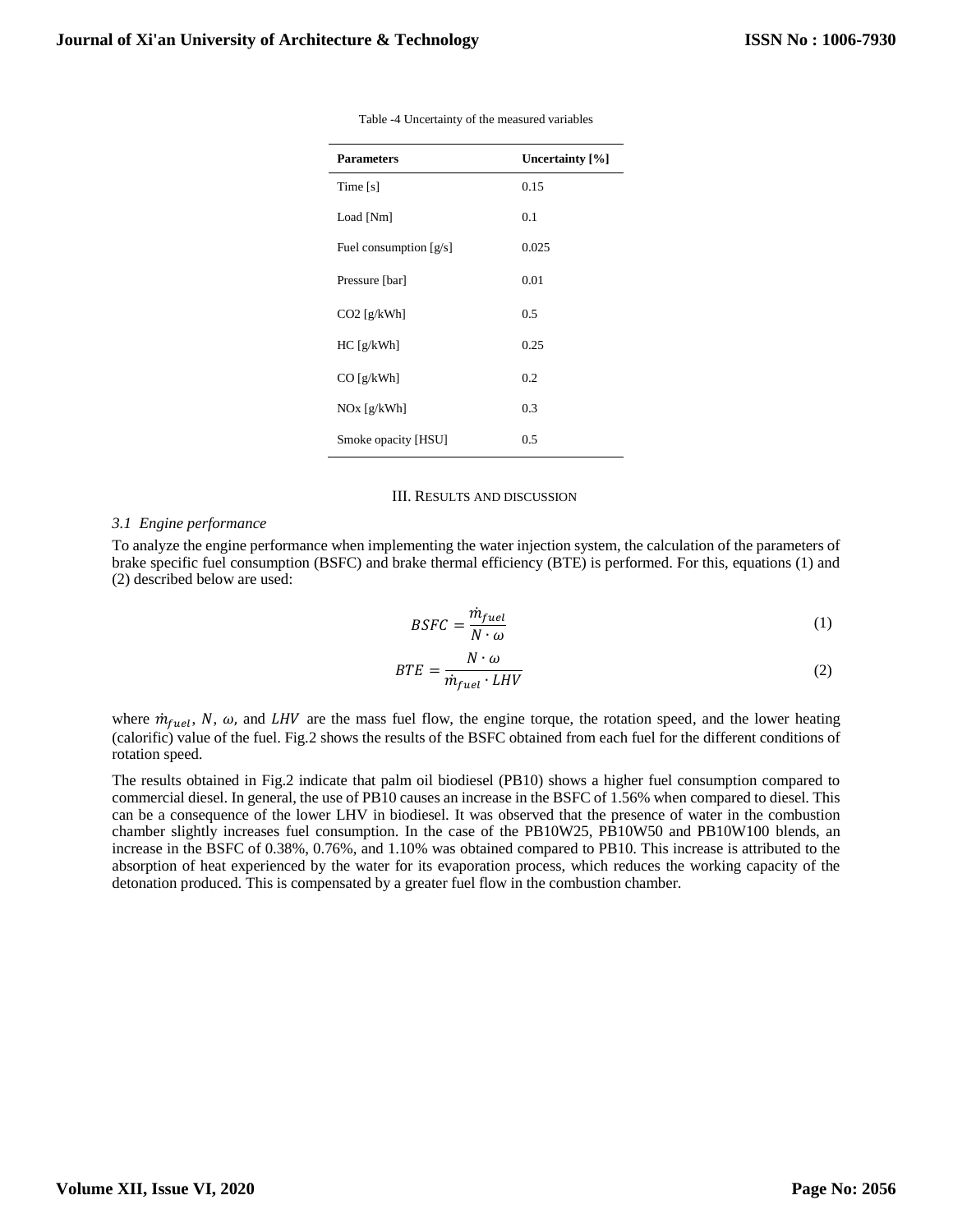| <b>Parameters</b>        | Uncertainty [%] |
|--------------------------|-----------------|
| Time $[s]$               | 0.15            |
| Load [Nm]                | 0.1             |
| Fuel consumption $[g/s]$ | 0.025           |
| Pressure [bar]           | 0.01            |
| $CO2$ [g/kWh]            | 0.5             |
| HC[g/kWh]                | 0.25            |
| $CO$ [g/kWh]             | 0.2             |
| $NOx$ [g/kWh]            | 0.3             |
| Smoke opacity [HSU]      | 0.5             |

Table -4 Uncertainty of the measured variables

## III. RESULTS AND DISCUSSION

#### *3.1 Engine performance*

To analyze the engine performance when implementing the water injection system, the calculation of the parameters of brake specific fuel consumption (BSFC) and brake thermal efficiency (BTE) is performed. For this, equations (1) and (2) described below are used:

$$
BSFC = \frac{\dot{m}_{fuel}}{N \cdot \omega} \tag{1}
$$

$$
BTE = \frac{N \cdot \omega}{\dot{m}_{fuel} \cdot LHV} \tag{2}
$$

where  $\dot{m}_{fuel}$ , N,  $\omega$ , and LHV are the mass fuel flow, the engine torque, the rotation speed, and the lower heating (calorific) value of the fuel. Fig.2 shows the results of the BSFC obtained from each fuel for the different conditions of rotation speed.

The results obtained in Fig.2 indicate that palm oil biodiesel (PB10) shows a higher fuel consumption compared to commercial diesel. In general, the use of PB10 causes an increase in the BSFC of 1.56% when compared to diesel. This can be a consequence of the lower LHV in biodiesel. It was observed that the presence of water in the combustion chamber slightly increases fuel consumption. In the case of the PB10W25, PB10W50 and PB10W100 blends, an increase in the BSFC of 0.38%, 0.76%, and 1.10% was obtained compared to PB10. This increase is attributed to the absorption of heat experienced by the water for its evaporation process, which reduces the working capacity of the detonation produced. This is compensated by a greater fuel flow in the combustion chamber.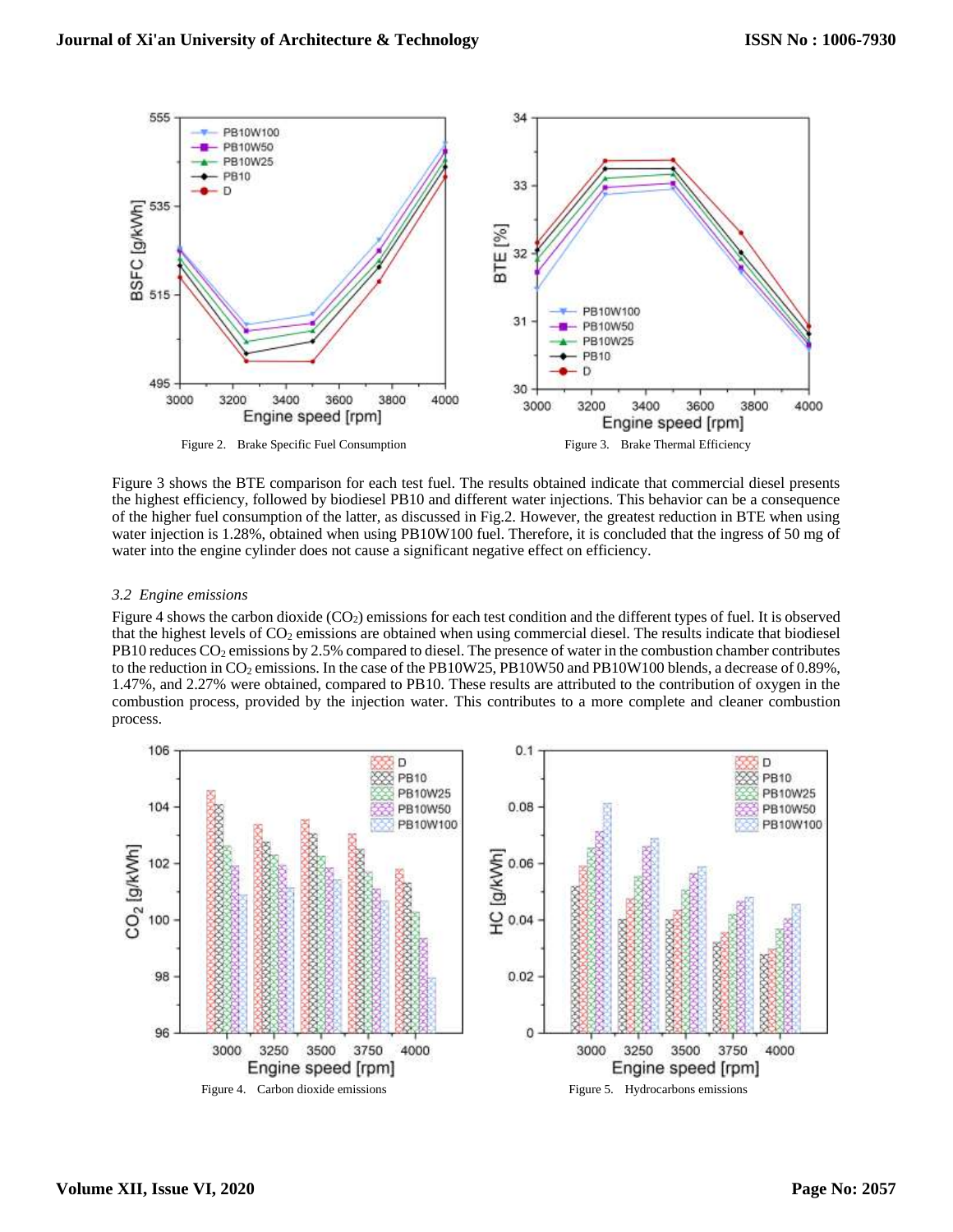

Figure 3 shows the BTE comparison for each test fuel. The results obtained indicate that commercial diesel presents the highest efficiency, followed by biodiesel PB10 and different water injections. This behavior can be a consequence of the higher fuel consumption of the latter, as discussed in Fig.2. However, the greatest reduction in BTE when using water injection is 1.28%, obtained when using PB10W100 fuel. Therefore, it is concluded that the ingress of 50 mg of water into the engine cylinder does not cause a significant negative effect on efficiency.

## *3.2 Engine emissions*

Figure 4 shows the carbon dioxide (CO<sub>2</sub>) emissions for each test condition and the different types of fuel. It is observed that the highest levels of  $CO<sub>2</sub>$  emissions are obtained when using commercial diesel. The results indicate that biodiesel PB10 reduces CO<sub>2</sub> emissions by 2.5% compared to diesel. The presence of water in the combustion chamber contributes to the reduction in  $CO_2$  emissions. In the case of the PB10W25, PB10W50 and PB10W100 blends, a decrease of 0.89%, 1.47%, and 2.27% were obtained, compared to PB10. These results are attributed to the contribution of oxygen in the combustion process, provided by the injection water. This contributes to a more complete and cleaner combustion process.

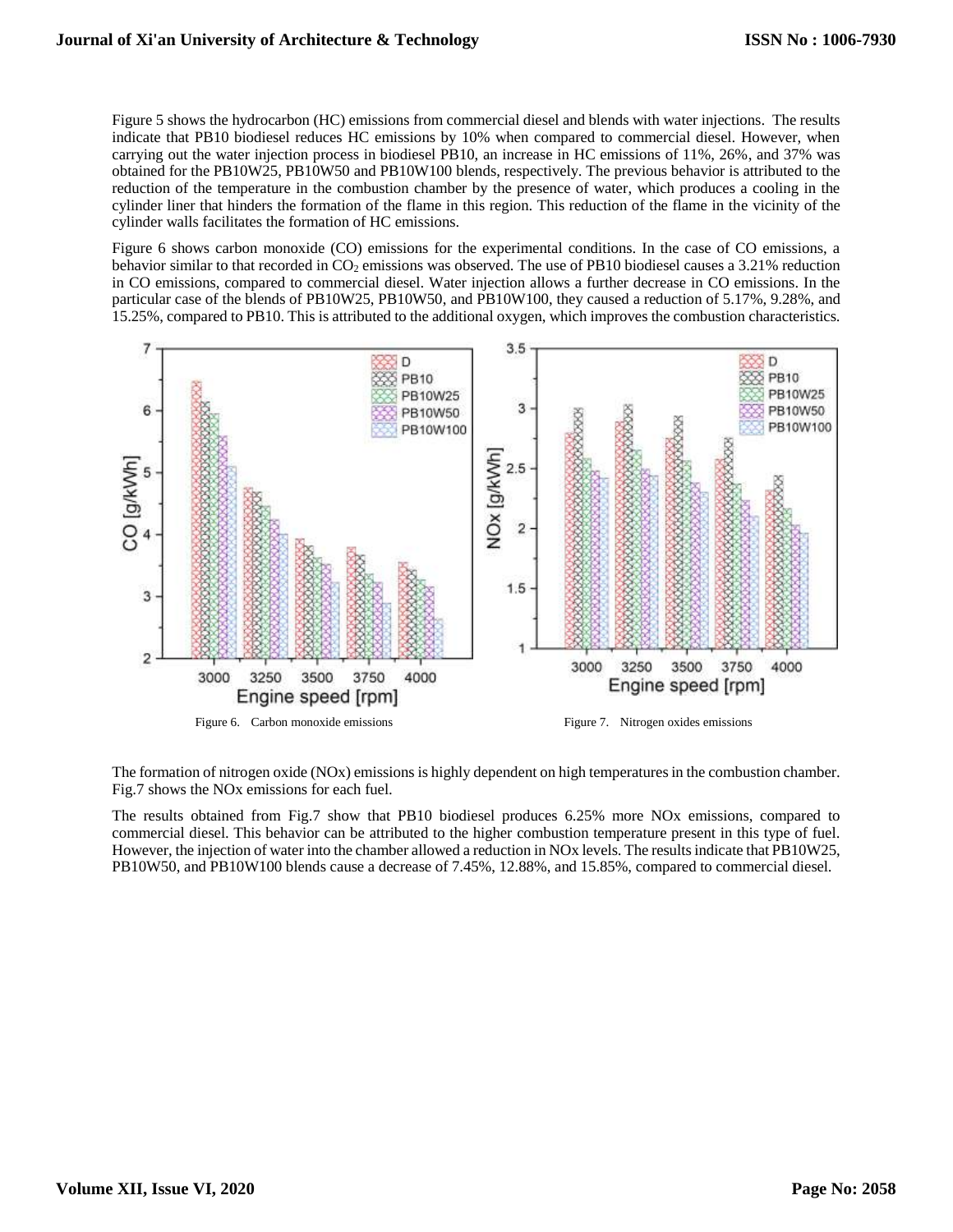Figure 5 shows the hydrocarbon (HC) emissions from commercial diesel and blends with water injections. The results indicate that PB10 biodiesel reduces HC emissions by 10% when compared to commercial diesel. However, when carrying out the water injection process in biodiesel PB10, an increase in HC emissions of 11%, 26%, and 37% was obtained for the PB10W25, PB10W50 and PB10W100 blends, respectively. The previous behavior is attributed to the reduction of the temperature in the combustion chamber by the presence of water, which produces a cooling in the cylinder liner that hinders the formation of the flame in this region. This reduction of the flame in the vicinity of the cylinder walls facilitates the formation of HC emissions.

Figure 6 shows carbon monoxide (CO) emissions for the experimental conditions. In the case of CO emissions, a behavior similar to that recorded in CO<sub>2</sub> emissions was observed. The use of PB10 biodiesel causes a 3.21% reduction in CO emissions, compared to commercial diesel. Water injection allows a further decrease in CO emissions. In the particular case of the blends of PB10W25, PB10W50, and PB10W100, they caused a reduction of 5.17%, 9.28%, and 15.25%, compared to PB10. This is attributed to the additional oxygen, which improves the combustion characteristics.



The formation of nitrogen oxide (NOx) emissions is highly dependent on high temperatures in the combustion chamber. Fig.7 shows the NOx emissions for each fuel.

The results obtained from Fig.7 show that PB10 biodiesel produces 6.25% more NOx emissions, compared to commercial diesel. This behavior can be attributed to the higher combustion temperature present in this type of fuel. However, the injection of water into the chamber allowed a reduction in NOx levels. The results indicate that PB10W25, PB10W50, and PB10W100 blends cause a decrease of 7.45%, 12.88%, and 15.85%, compared to commercial diesel.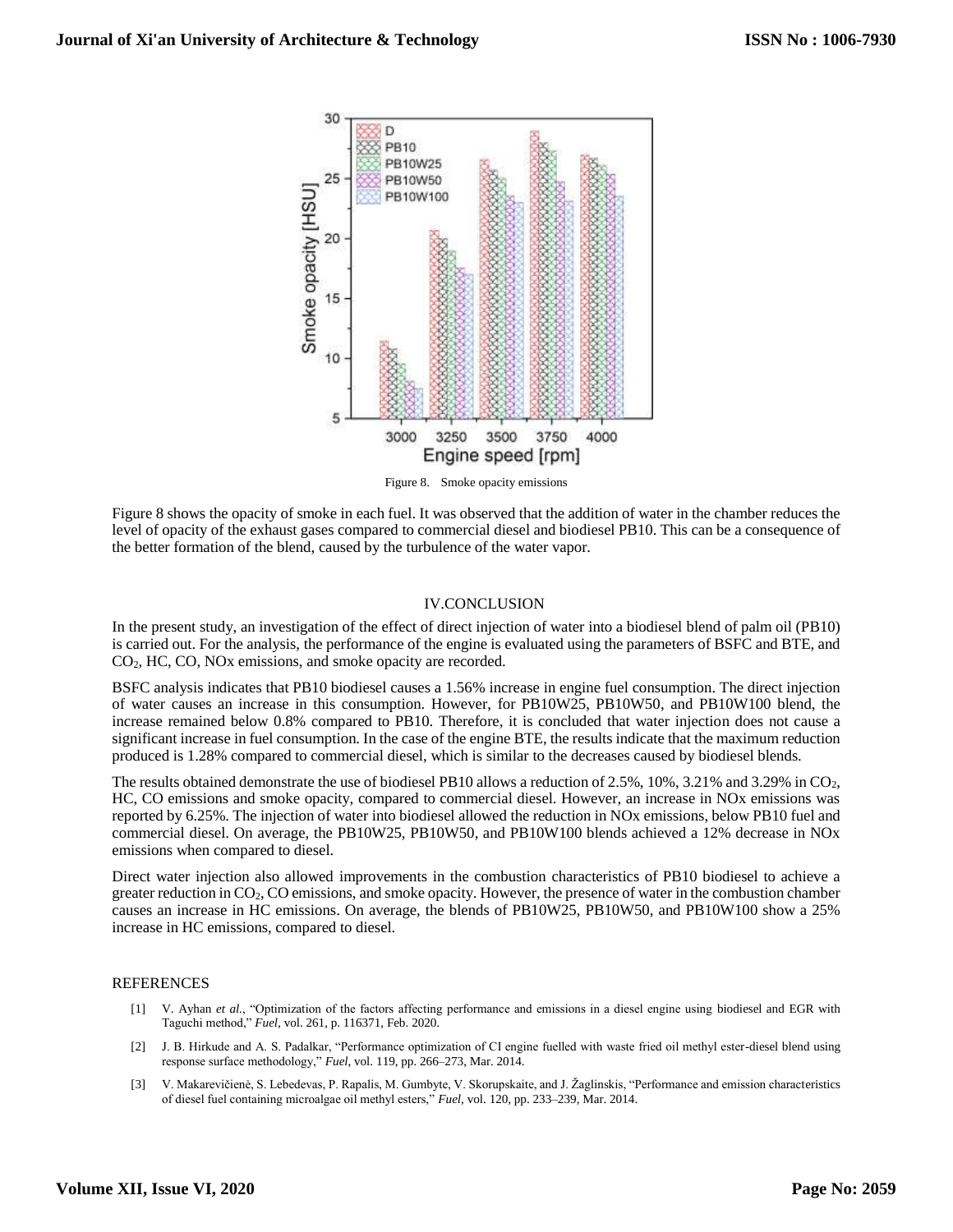

Figure 8 shows the opacity of smoke in each fuel. It was observed that the addition of water in the chamber reduces the level of opacity of the exhaust gases compared to commercial diesel and biodiesel PB10. This can be a consequence of the better formation of the blend, caused by the turbulence of the water vapor.

## IV.CONCLUSION

In the present study, an investigation of the effect of direct injection of water into a biodiesel blend of palm oil (PB10) is carried out. For the analysis, the performance of the engine is evaluated using the parameters of BSFC and BTE, and CO2, HC, CO, NOx emissions, and smoke opacity are recorded.

BSFC analysis indicates that PB10 biodiesel causes a 1.56% increase in engine fuel consumption. The direct injection of water causes an increase in this consumption. However, for PB10W25, PB10W50, and PB10W100 blend, the increase remained below 0.8% compared to PB10. Therefore, it is concluded that water injection does not cause a significant increase in fuel consumption. In the case of the engine BTE, the results indicate that the maximum reduction produced is 1.28% compared to commercial diesel, which is similar to the decreases caused by biodiesel blends.

The results obtained demonstrate the use of biodiesel PB10 allows a reduction of 2.5%, 10%, 3.21% and 3.29% in CO2, HC, CO emissions and smoke opacity, compared to commercial diesel. However, an increase in NOx emissions was reported by 6.25%. The injection of water into biodiesel allowed the reduction in NOx emissions, below PB10 fuel and commercial diesel. On average, the PB10W25, PB10W50, and PB10W100 blends achieved a 12% decrease in NOx emissions when compared to diesel.

Direct water injection also allowed improvements in the combustion characteristics of PB10 biodiesel to achieve a greater reduction in CO2, CO emissions, and smoke opacity. However, the presence of water in the combustion chamber causes an increase in HC emissions. On average, the blends of PB10W25, PB10W50, and PB10W100 show a 25% increase in HC emissions, compared to diesel.

## **REFERENCES**

- [1] V. Ayhan *et al.*, "Optimization of the factors affecting performance and emissions in a diesel engine using biodiesel and EGR with Taguchi method," *Fuel*, vol. 261, p. 116371, Feb. 2020.
- [2] J. B. Hirkude and A. S. Padalkar, "Performance optimization of CI engine fuelled with waste fried oil methyl ester-diesel blend using response surface methodology," *Fuel*, vol. 119, pp. 266–273, Mar. 2014.
- [3] V. Makarevičienė, S. Lebedevas, P. Rapalis, M. Gumbyte, V. Skorupskaite, and J. Žaglinskis, "Performance and emission characteristics of diesel fuel containing microalgae oil methyl esters," *Fuel*, vol. 120, pp. 233–239, Mar. 2014.